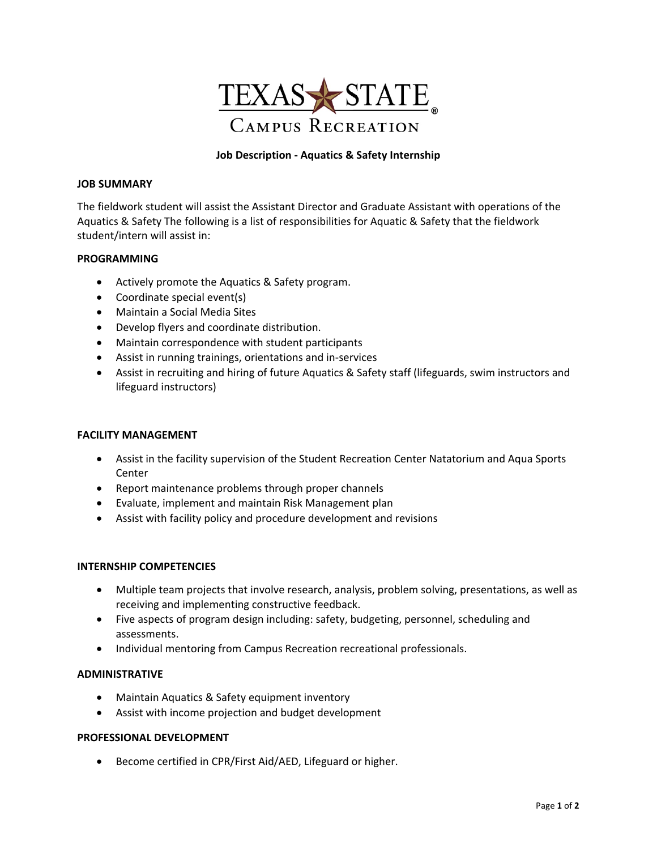

# **Job Description ‐ Aquatics & Safety Internship**

### **JOB SUMMARY**

The fieldwork student will assist the Assistant Director and Graduate Assistant with operations of the Aquatics & Safety The following is a list of responsibilities for Aquatic & Safety that the fieldwork student/intern will assist in:

## **PROGRAMMING**

- Actively promote the Aquatics & Safety program.
- Coordinate special event(s)
- Maintain a Social Media Sites
- Develop flyers and coordinate distribution.
- Maintain correspondence with student participants
- Assist in running trainings, orientations and in‐services
- Assist in recruiting and hiring of future Aquatics & Safety staff (lifeguards, swim instructors and lifeguard instructors)

#### **FACILITY MANAGEMENT**

- Assist in the facility supervision of the Student Recreation Center Natatorium and Aqua Sports Center
- Report maintenance problems through proper channels
- Evaluate, implement and maintain Risk Management plan
- Assist with facility policy and procedure development and revisions

#### **INTERNSHIP COMPETENCIES**

- Multiple team projects that involve research, analysis, problem solving, presentations, as well as receiving and implementing constructive feedback.
- Five aspects of program design including: safety, budgeting, personnel, scheduling and assessments.
- Individual mentoring from Campus Recreation recreational professionals.

#### **ADMINISTRATIVE**

- Maintain Aquatics & Safety equipment inventory
- Assist with income projection and budget development

## **PROFESSIONAL DEVELOPMENT**

Become certified in CPR/First Aid/AED, Lifeguard or higher.